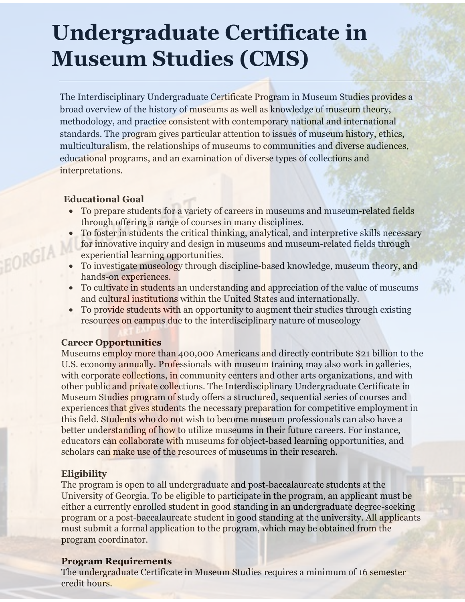# **Undergraduate Certificate in Museum Studies (CMS)**

The Interdisciplinary Undergraduate Certificate Program in Museum Studies provides a broad overview of the history of museums as well as knowledge of museum theory, methodology, and practice consistent with contemporary national and international standards. The program gives particular attention to issues of museum history, ethics, multiculturalism, the relationships of museums to communities and diverse audiences, educational programs, and an examination of diverse types of collections and interpretations.

#### **Educational Goal**

EORGIA

- To prepare students for a variety of careers in museums and museum-related fields through offering a range of courses in many disciplines.
- To foster in students the critical thinking, analytical, and interpretive skills necessary for innovative inquiry and design in museums and museum-related fields through experiential learning opportunities.
- To investigate museology through discipline-based knowledge, museum theory, and hands-on experiences.
- To cultivate in students an understanding and appreciation of the value of museums and cultural institutions within the United States and internationally.
- To provide students with an opportunity to augment their studies through existing resources on campus due to the interdisciplinary nature of museology

#### **Career Opportunities**

Museums employ more than 400,000 Americans and directly contribute \$21 billion to the U.S. economy annually. Professionals with museum training may also work in galleries, with corporate collections, in community centers and other arts organizations, and with other public and private collections. The Interdisciplinary Undergraduate Certificate in Museum Studies program of study offers a structured, sequential series of courses and experiences that gives students the necessary preparation for competitive employment in this field. Students who do not wish to become museum professionals can also have a better understanding of how to utilize museums in their future careers. For instance, educators can collaborate with museums for object-based learning opportunities, and scholars can make use of the resources of museums in their research.

### **Eligibility**

The program is open to all undergraduate and post-baccalaureate students at the University of Georgia. To be eligible to participate in the program, an applicant must be either a currently enrolled student in good standing in an undergraduate degree-seeking program or a post-baccalaureate student in good standing at the university. All applicants must submit a formal application to the program, which may be obtained from the program coordinator.

#### **Program Requirements**

The undergraduate Certificate in Museum Studies requires a minimum of 16 semester credit hours.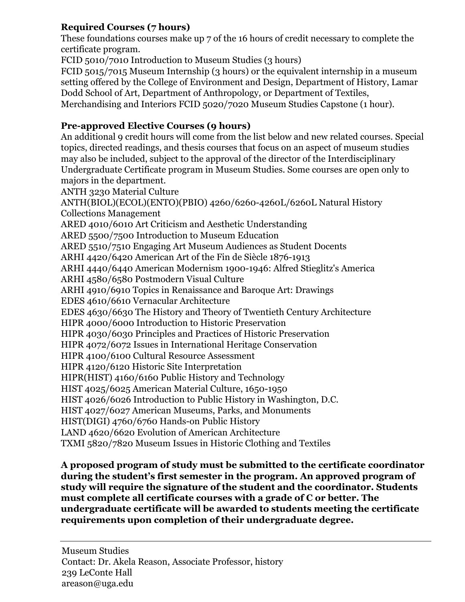# **Required Courses (7 hours)**

These foundations courses make up 7 of the 16 hours of credit necessary to complete the certificate program.

FCID 5010/7010 Introduction to Museum Studies (3 hours)

FCID 5015/7015 Museum Internship (3 hours) or the equivalent internship in a museum setting offered by the College of Environment and Design, Department of History, Lamar Dodd School of Art, Department of Anthropology, or Department of Textiles, Merchandising and Interiors FCID 5020/7020 Museum Studies Capstone (1 hour).

# **Pre-approved Elective Courses (9 hours)**

An additional 9 credit hours will come from the list below and new related courses. Special topics, directed readings, and thesis courses that focus on an aspect of museum studies may also be included, subject to the approval of the director of the Interdisciplinary Undergraduate Certificate program in Museum Studies. Some courses are open only to majors in the department.

ANTH 3230 Material Culture

ANTH(BIOL)(ECOL)(ENTO)(PBIO) 4260/6260-4260L/6260L Natural History Collections Management

ARED 4010/6010 Art Criticism and Aesthetic Understanding

ARED 5500/7500 Introduction to Museum Education

ARED 5510/7510 Engaging Art Museum Audiences as Student Docents

ARHI 4420/6420 American Art of the Fin de Siècle 1876-1913

ARHI 4440/6440 American Modernism 1900-1946: Alfred Stieglitz's America

ARHI 4580/6580 Postmodern Visual Culture

ARHI 4910/6910 Topics in Renaissance and Baroque Art: Drawings

EDES 4610/6610 Vernacular Architecture

EDES 4630/6630 The History and Theory of Twentieth Century Architecture

HIPR 4000/6000 Introduction to Historic Preservation

HIPR 4030/6030 Principles and Practices of Historic Preservation

HIPR 4072/6072 Issues in International Heritage Conservation

HIPR 4100/6100 Cultural Resource Assessment

HIPR 4120/6120 Historic Site Interpretation

HIPR(HIST) 4160/6160 Public History and Technology

HIST 4025/6025 American Material Culture, 1650-1950

HIST 4026/6026 Introduction to Public History in Washington, D.C.

HIST 4027/6027 American Museums, Parks, and Monuments

HIST(DIGI) 4760/6760 Hands-on Public History

LAND 4620/6620 Evolution of American Architecture

TXMI 5820/7820 Museum Issues in Historic Clothing and Textiles

**A proposed program of study must be submitted to the certificate coordinator during the student's first semester in the program. An approved program of study will require the signature of the student and the coordinator. Students must complete all certificate courses with a grade of C or better. The undergraduate certificate will be awarded to students meeting the certificate requirements upon completion of their undergraduate degree.**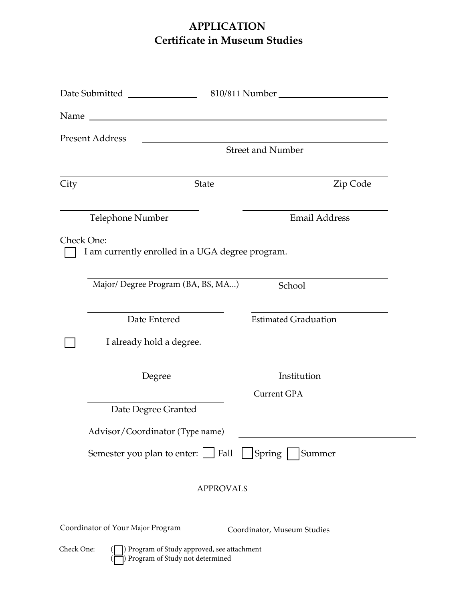# **APPLICATION Certificate in Museum Studies**

|            | Name and the contract of the contract of the contract of the contract of the contract of the contract of the contract of the contract of the contract of the contract of the contract of the contract of the contract of the c |                             |
|------------|--------------------------------------------------------------------------------------------------------------------------------------------------------------------------------------------------------------------------------|-----------------------------|
|            | <b>Present Address</b>                                                                                                                                                                                                         |                             |
|            |                                                                                                                                                                                                                                | <b>Street and Number</b>    |
| City       | State                                                                                                                                                                                                                          | Zip Code                    |
|            | Telephone Number                                                                                                                                                                                                               | Email Address               |
|            | Check One:<br>I am currently enrolled in a UGA degree program.                                                                                                                                                                 |                             |
|            | Major/ Degree Program (BA, BS, MA)                                                                                                                                                                                             | School                      |
|            | Date Entered                                                                                                                                                                                                                   | <b>Estimated Graduation</b> |
|            | I already hold a degree.                                                                                                                                                                                                       |                             |
|            | Degree                                                                                                                                                                                                                         | Institution                 |
|            |                                                                                                                                                                                                                                | Current GPA                 |
|            | Date Degree Granted                                                                                                                                                                                                            |                             |
|            | Advisor/Coordinator (Type name)                                                                                                                                                                                                |                             |
|            | Semester you plan to enter: $\Box$ Fall $\Box$                                                                                                                                                                                 | Spring<br>Summer            |
|            | <b>APPROVALS</b>                                                                                                                                                                                                               |                             |
|            | Coordinator of Your Major Program                                                                                                                                                                                              | Coordinator, Museum Studies |
| Check One: | Program of Study approved, see attachment<br>Program of Study not determined                                                                                                                                                   |                             |